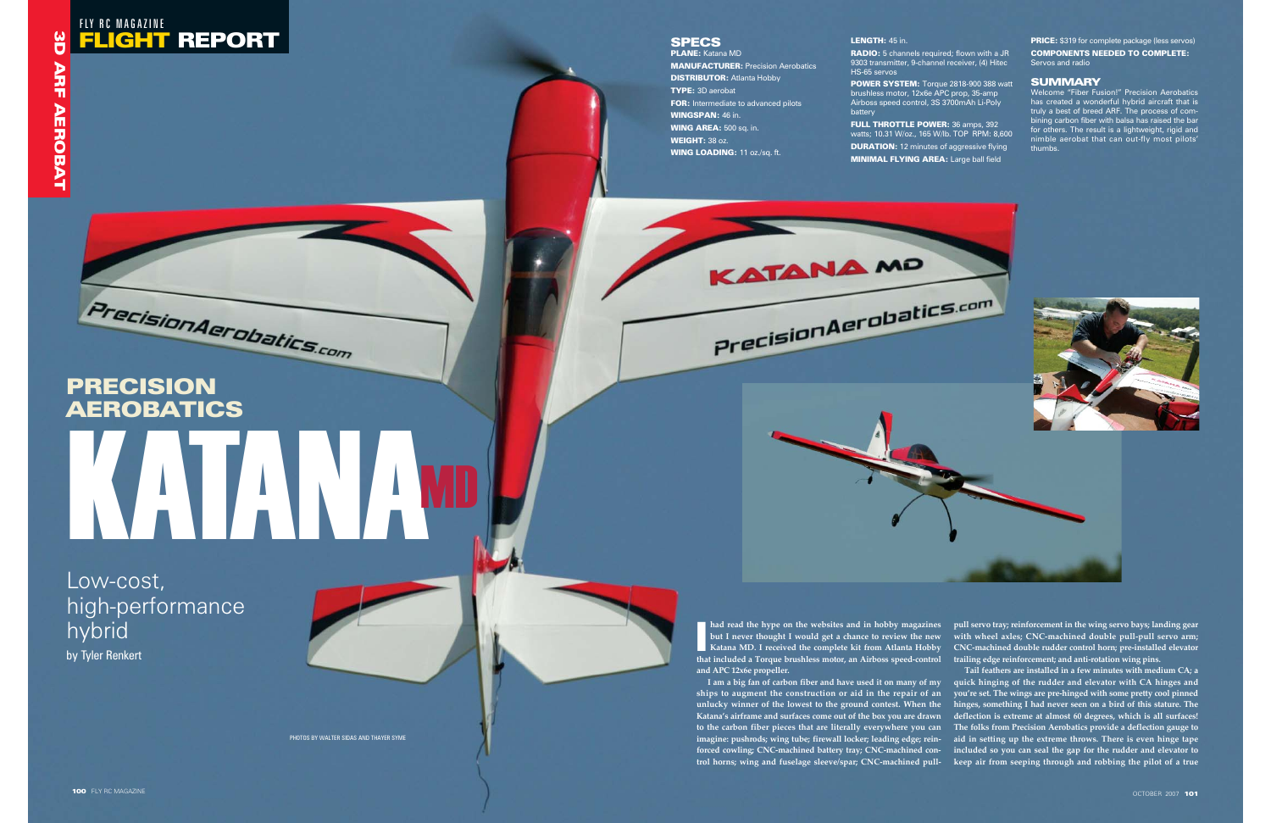## FLIGHT REPORT FLY RC MAGAZINE

## **SPECS**

# PRECISION AEROBATICS KATANAMD

PHOTOS BY WALTER SIDAS AND THAYER SYME

PLANE: Katana MD MANUFACTURER: Precision Aerobatics **DISTRIBUTOR: Atlanta Hobby** TYPE: 3D aerobat FOR: Intermediate to advanced pilots WINGSPAN: 46 in. WING AREA: 500 sq. in. WEIGHT: 38 oz. WING LOADING: 11 oz./sq. ft.

Low-cost, high-performance hybrid by Tyler Renkert

**FULL THROTTLE POWER:** 36 amps, 392 watts; 10.31 W/oz., 165 W/lb. TOP RPM: 8,600 **DURATION:** 12 minutes of aggressive flying MINIMAL FLYING AREA: Large ball field



#### LENGTH: 45 in.

9303 transmitter, 9-channel receiver, (4) Hitec HS-65 servos POWER SYSTEM: Torque 2818-900 388 watt brushless motor, 12x6e APC prop, 35-amp Airboss speed control, 3S 3700mAh Li-Poly battery

**I am a big fan of carbon fiber and have used it on many of my quick hinging of the rudder and elevator with CA hinges and ships to augment the construction or aid in the repair of an you're set. The wings are pre-hinged with some pretty cool pinned unlucky winner of the lowest to the ground contest. When the Katana's airframe and surfaces come out of the box you are drawn deflection is extreme at almost 60 degrees, which is all surfaces! to the carbon fiber pieces that are literally everywhere you can The folks from Precision Aerobatics provide a deflection gauge to imagine: pushrods; wing tube; firewall locker; leading edge; rein-aid in setting up the extreme throws. There is even hinge tape forced cowling; CNC-machined battery tray; CNC-machined con-included so you can seal the gap for the rudder and elevator to trol horns; wing and fuselage sleeve/spar; CNC-machined pull-**Tail feathers are installed in a few minutes with medium CA; a **hinges, something I had never seen on a bird of this stature. The** had read the hype on the websites and in hobby magazines pull servo tray; reinforcement in the wing servo bays; landing gear<br>but I never thought I would get a chance to review the new with wheel axles; CNC-machined double

**RADIO:** 5 channels required; flown with a JR

PRICE: \$319 for complete package (less servos) COMPONENTS NEEDED TO COMPLETE: Servos and radio

#### **SUMMARY**

Welcome "Fiber Fusion!" Precision Aerobatics has created a wonderful hybrid aircraft that is truly a best of breed ARF. The process of combining carbon fiber with balsa has raised the bar for others. The result is a lightweight, rigid and nimble aerobat that can out-fly most pilots' thumbs.



**had read the hype on the websites and in hobby magazines but I never thought I would get a chance to review the new that included a Torque brushless motor, an Airboss speed-control and APC 12x6e propeller.** 

KATANA MP

PrecisionAerobatics.com

**Katana MD. I received the complete kit from Atlanta Hobby CNC-machined double rudder control horn; pre-installed elevator pull servo tray; reinforcement in the wing servo bays; landing gear with wheel axles; CNC-machined double pull-pull servo arm;**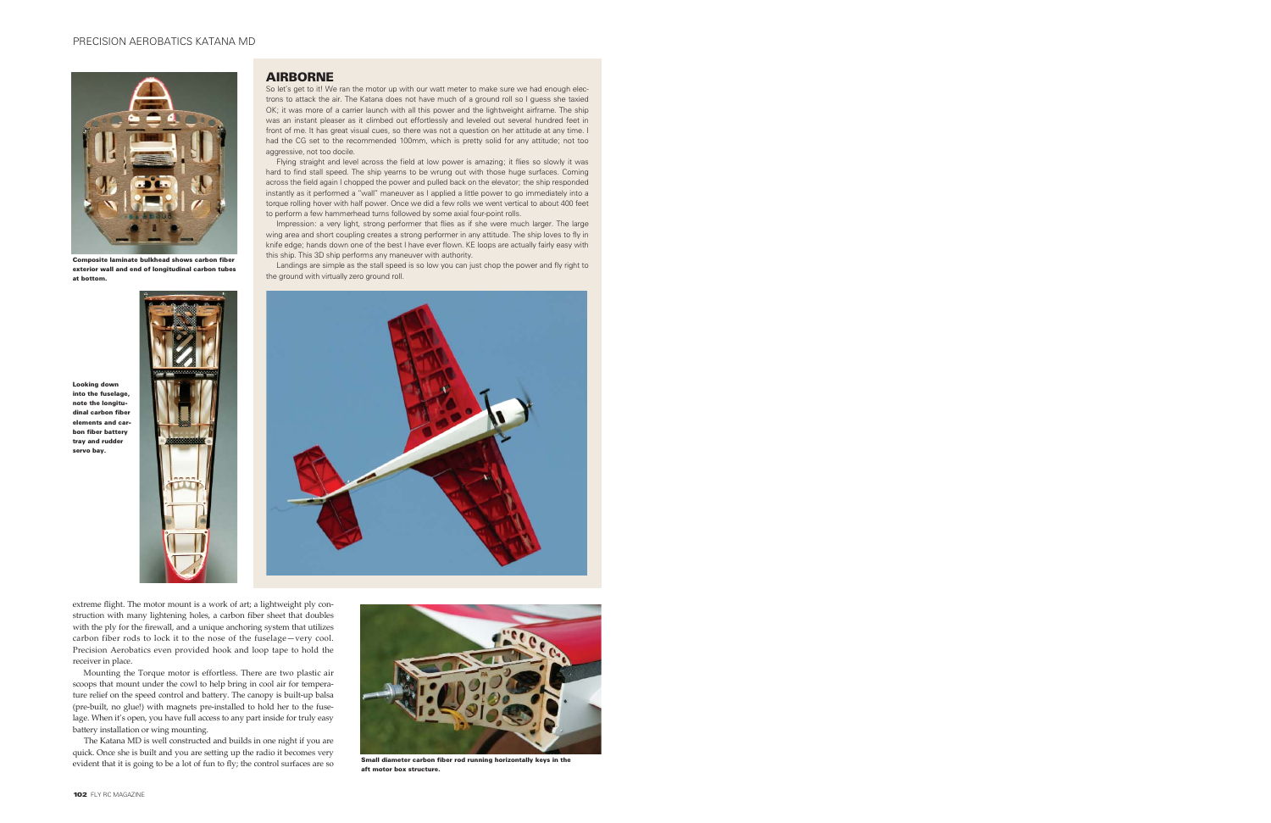extreme flight. The motor mount is a work of art; a lightweight ply construction with many lightening holes, a carbon fiber sheet that doubles with the ply for the firewall, and a unique anchoring system that utilizes carbon fiber rods to lock it to the nose of the fuselage—very cool. Precision Aerobatics even provided hook and loop tape to hold the receiver in place.

So let's get to it! We ran the motor up with our watt meter to make sure we had enough electrons to attack the air. The Katana does not have much of a ground roll so I guess she taxied OK; it was more of a carrier launch with all this power and the lightweight airframe. The ship was an instant pleaser as it climbed out effortlessly and leveled out several hundred feet in front of me. It has great visual cues, so there was not a question on her attitude at any time. I had the CG set to the recommended 100mm, which is pretty solid for any attitude; not too aggressive, not too docile.

Mounting the Torque motor is effortless. There are two plastic air scoops that mount under the cowl to help bring in cool air for temperature relief on the speed control and battery. The canopy is built-up balsa (pre-built, no glue!) with magnets pre-installed to hold her to the fuselage. When it's open, you have full access to any part inside for truly easy battery installation or wing mounting.

The Katana MD is well constructed and builds in one night if you are quick. Once she is built and you are setting up the radio it becomes very evident that it is going to be a lot of fun to fly; the control surfaces are so

#### AIRBORNE

Impression: a very light, strong performer that flies as if she were much larger. The large wing area and short coupling creates a strong performer in any attitude. The ship loves to fly in knife edge; hands down one of the best I have ever flown. KE loops are actually fairly easy with this ship. This 3D ship performs any maneuver with authority.

Flying straight and level across the field at low power is amazing; it flies so slowly it was hard to find stall speed. The ship yearns to be wrung out with those huge surfaces. Coming across the field again I chopped the power and pulled back on the elevator; the ship responded instantly as it performed a "wall" maneuver as I applied a little power to go immediately into a torque rolling hover with half power. Once we did a few rolls we went vertical to about 400 feet to perform a few hammerhead turns followed by some axial four-point rolls.

Landings are simple as the stall speed is so low you can just chop the power and fly right to the ground with virtually zero ground roll.





Composite laminate bulkhead shows carbon fiber exterior wall and end of longitudinal carbon tubes at bottom.

Looking down into the fuselage, note the longitudinal carbon fiber elements and carbon fiber battery tray and rudder servo bay.



Small diameter carbon fiber rod running horizontally keys in the aft motor box structure.